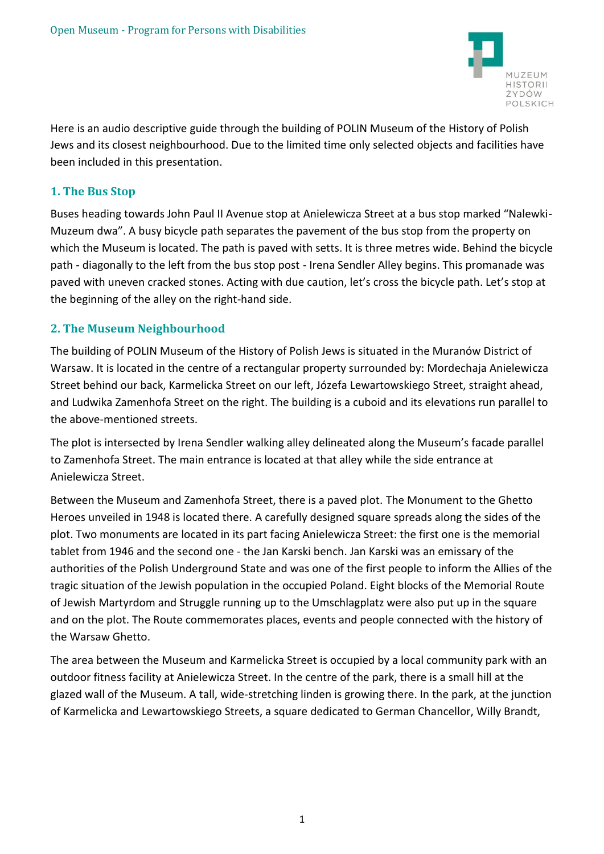

Here is an audio descriptive guide through the building of POLIN Museum of the History of Polish Jews and its closest neighbourhood. Due to the limited time only selected objects and facilities have been included in this presentation.

## **1. The Bus Stop**

Buses heading towards John Paul II Avenue stop at Anielewicza Street at a bus stop marked "Nalewki-Muzeum dwa". A busy bicycle path separates the pavement of the bus stop from the property on which the Museum is located. The path is paved with setts. It is three metres wide. Behind the bicycle path - diagonally to the left from the bus stop post - Irena Sendler Alley begins. This promanade was paved with uneven cracked stones. Acting with due caution, let's cross the bicycle path. Let's stop at the beginning of the alley on the right-hand side.

# **2. The Museum Neighbourhood**

The building of POLIN Museum of the History of Polish Jews is situated in the Muranów District of Warsaw. It is located in the centre of a rectangular property surrounded by: Mordechaja Anielewicza Street behind our back, Karmelicka Street on our left, Józefa Lewartowskiego Street, straight ahead, and Ludwika Zamenhofa Street on the right. The building is a cuboid and its elevations run parallel to the above-mentioned streets.

The plot is intersected by Irena Sendler walking alley delineated along the Museum's facade parallel to Zamenhofa Street. The main entrance is located at that alley while the side entrance at Anielewicza Street.

Between the Museum and Zamenhofa Street, there is a paved plot. The Monument to the Ghetto Heroes unveiled in 1948 is located there. A carefully designed square spreads along the sides of the plot. Two monuments are located in its part facing Anielewicza Street: the first one is the memorial tablet from 1946 and the second one - the Jan Karski bench. Jan Karski was an emissary of the authorities of the Polish Underground State and was one of the first people to inform the Allies of the tragic situation of the Jewish population in the occupied Poland. Eight blocks of the Memorial Route of Jewish Martyrdom and Struggle running up to the Umschlagplatz were also put up in the square and on the plot. The Route commemorates places, events and people connected with the history of the Warsaw Ghetto.

The area between the Museum and Karmelicka Street is occupied by a local community park with an outdoor fitness facility at Anielewicza Street. In the centre of the park, there is a small hill at the glazed wall of the Museum. A tall, wide-stretching linden is growing there. In the park, at the junction of Karmelicka and Lewartowskiego Streets, a square dedicated to German Chancellor, Willy Brandt,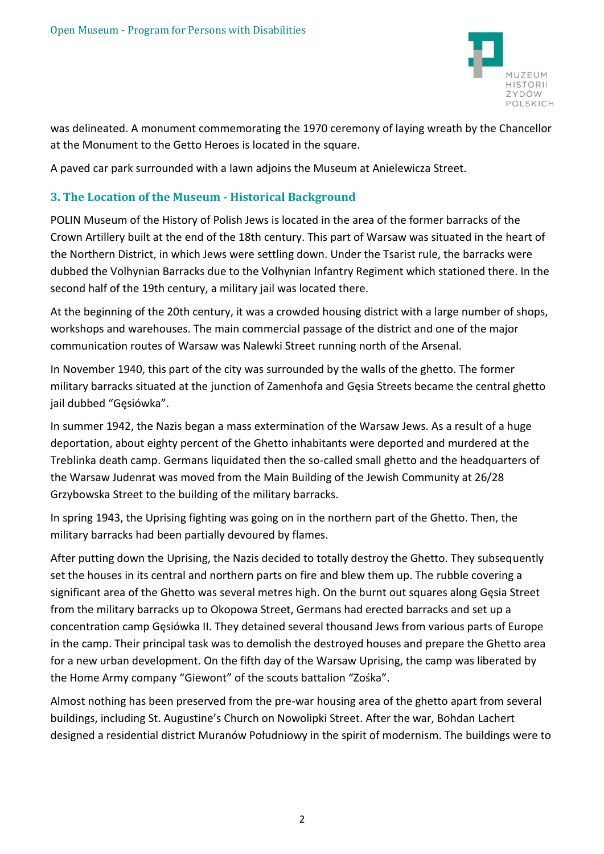

was delineated. A monument commemorating the 1970 ceremony of laying wreath by the Chancellor at the Monument to the Getto Heroes is located in the square.

A paved car park surrounded with a lawn adjoins the Museum at Anielewicza Street.

#### **3. The Location of the Museum - Historical Background**

POLIN Museum of the History of Polish Jews is located in the area of the former barracks of the Crown Artillery built at the end of the 18th century. This part of Warsaw was situated in the heart of the Northern District, in which Jews were settling down. Under the Tsarist rule, the barracks were dubbed the Volhynian Barracks due to the Volhynian Infantry Regiment which stationed there. In the second half of the 19th century, a military jail was located there.

At the beginning of the 20th century, it was a crowded housing district with a large number of shops, workshops and warehouses. The main commercial passage of the district and one of the major communication routes of Warsaw was Nalewki Street running north of the Arsenal.

In November 1940, this part of the city was surrounded by the walls of the ghetto. The former military barracks situated at the junction of Zamenhofa and Gęsia Streets became the central ghetto jail dubbed "Gęsiówka".

In summer 1942, the Nazis began a mass extermination of the Warsaw Jews. As a result of a huge deportation, about eighty percent of the Ghetto inhabitants were deported and murdered at the Treblinka death camp. Germans liquidated then the so-called small ghetto and the headquarters of the Warsaw Judenrat was moved from the Main Building of the Jewish Community at 26/28 Grzybowska Street to the building of the military barracks.

In spring 1943, the Uprising fighting was going on in the northern part of the Ghetto. Then, the military barracks had been partially devoured by flames.

After putting down the Uprising, the Nazis decided to totally destroy the Ghetto. They subsequently set the houses in its central and northern parts on fire and blew them up. The rubble covering a significant area of the Ghetto was several metres high. On the burnt out squares along Gęsia Street from the military barracks up to Okopowa Street, Germans had erected barracks and set up a concentration camp Gęsiówka II. They detained several thousand Jews from various parts of Europe in the camp. Their principal task was to demolish the destroyed houses and prepare the Ghetto area for a new urban development. On the fifth day of the Warsaw Uprising, the camp was liberated by the Home Army company "Giewont" of the scouts battalion "Zośka".

Almost nothing has been preserved from the pre-war housing area of the ghetto apart from several buildings, including St. Augustine's Church on Nowolipki Street. After the war, Bohdan Lachert designed a residential district Muranów Południowy in the spirit of modernism. The buildings were to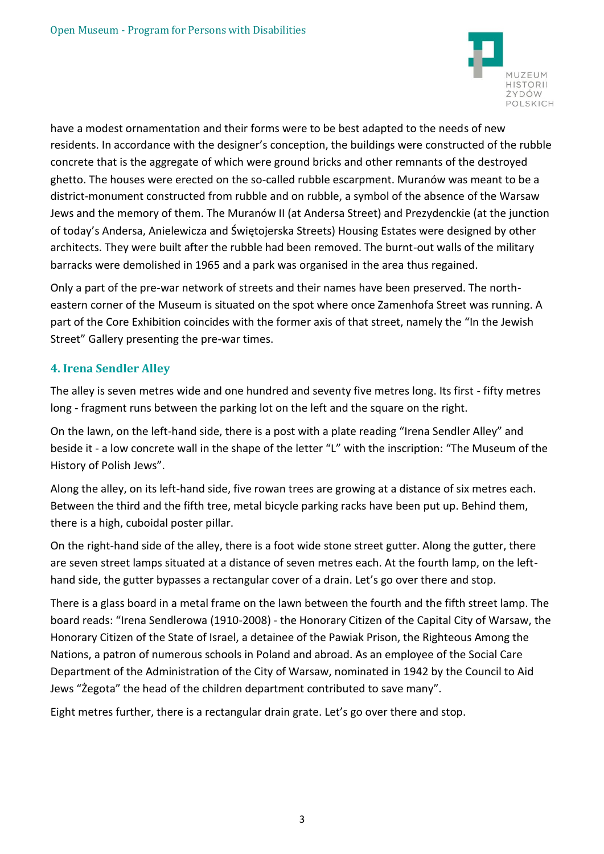

have a modest ornamentation and their forms were to be best adapted to the needs of new residents. In accordance with the designer's conception, the buildings were constructed of the rubble concrete that is the aggregate of which were ground bricks and other remnants of the destroyed ghetto. The houses were erected on the so-called rubble escarpment. Muranów was meant to be a district-monument constructed from rubble and on rubble, a symbol of the absence of the Warsaw Jews and the memory of them. The Muranów II (at Andersa Street) and Prezydenckie (at the junction of today's Andersa, Anielewicza and Świętojerska Streets) Housing Estates were designed by other architects. They were built after the rubble had been removed. The burnt-out walls of the military barracks were demolished in 1965 and a park was organised in the area thus regained.

Only a part of the pre-war network of streets and their names have been preserved. The northeastern corner of the Museum is situated on the spot where once Zamenhofa Street was running. A part of the Core Exhibition coincides with the former axis of that street, namely the "In the Jewish Street" Gallery presenting the pre-war times.

# **4. Irena Sendler Alley**

The alley is seven metres wide and one hundred and seventy five metres long. Its first - fifty metres long - fragment runs between the parking lot on the left and the square on the right.

On the lawn, on the left-hand side, there is a post with a plate reading "Irena Sendler Alley" and beside it - a low concrete wall in the shape of the letter "L" with the inscription: "The Museum of the History of Polish Jews".

Along the alley, on its left-hand side, five rowan trees are growing at a distance of six metres each. Between the third and the fifth tree, metal bicycle parking racks have been put up. Behind them, there is a high, cuboidal poster pillar.

On the right-hand side of the alley, there is a foot wide stone street gutter. Along the gutter, there are seven street lamps situated at a distance of seven metres each. At the fourth lamp, on the lefthand side, the gutter bypasses a rectangular cover of a drain. Let's go over there and stop.

There is a glass board in a metal frame on the lawn between the fourth and the fifth street lamp. The board reads: "Irena Sendlerowa (1910-2008) - the Honorary Citizen of the Capital City of Warsaw, the Honorary Citizen of the State of Israel, a detainee of the Pawiak Prison, the Righteous Among the Nations, a patron of numerous schools in Poland and abroad. As an employee of the Social Care Department of the Administration of the City of Warsaw, nominated in 1942 by the Council to Aid Jews "Żegota" the head of the children department contributed to save many".

Eight metres further, there is a rectangular drain grate. Let's go over there and stop.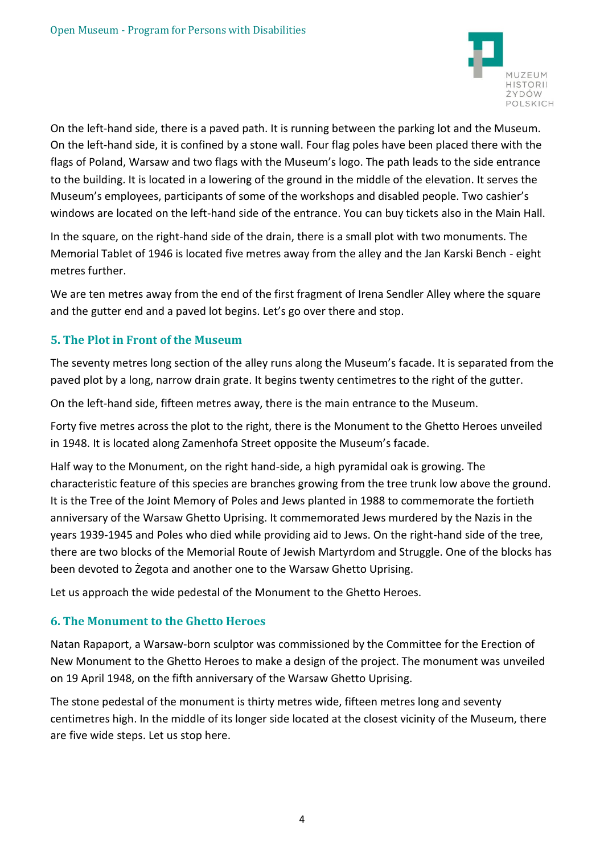

On the left-hand side, there is a paved path. It is running between the parking lot and the Museum. On the left-hand side, it is confined by a stone wall. Four flag poles have been placed there with the flags of Poland, Warsaw and two flags with the Museum's logo. The path leads to the side entrance to the building. It is located in a lowering of the ground in the middle of the elevation. It serves the Museum's employees, participants of some of the workshops and disabled people. Two cashier's windows are located on the left-hand side of the entrance. You can buy tickets also in the Main Hall.

In the square, on the right-hand side of the drain, there is a small plot with two monuments. The Memorial Tablet of 1946 is located five metres away from the alley and the Jan Karski Bench - eight metres further.

We are ten metres away from the end of the first fragment of Irena Sendler Alley where the square and the gutter end and a paved lot begins. Let's go over there and stop.

# **5. The Plot in Front of the Museum**

The seventy metres long section of the alley runs along the Museum's facade. It is separated from the paved plot by a long, narrow drain grate. It begins twenty centimetres to the right of the gutter.

On the left-hand side, fifteen metres away, there is the main entrance to the Museum.

Forty five metres across the plot to the right, there is the Monument to the Ghetto Heroes unveiled in 1948. It is located along Zamenhofa Street opposite the Museum's facade.

Half way to the Monument, on the right hand-side, a high pyramidal oak is growing. The characteristic feature of this species are branches growing from the tree trunk low above the ground. It is the Tree of the Joint Memory of Poles and Jews planted in 1988 to commemorate the fortieth anniversary of the Warsaw Ghetto Uprising. It commemorated Jews murdered by the Nazis in the years 1939-1945 and Poles who died while providing aid to Jews. On the right-hand side of the tree, there are two blocks of the Memorial Route of Jewish Martyrdom and Struggle. One of the blocks has been devoted to Żegota and another one to the Warsaw Ghetto Uprising.

Let us approach the wide pedestal of the Monument to the Ghetto Heroes.

## **6. The Monument to the Ghetto Heroes**

Natan Rapaport, a Warsaw-born sculptor was commissioned by the Committee for the Erection of New Monument to the Ghetto Heroes to make a design of the project. The monument was unveiled on 19 April 1948, on the fifth anniversary of the Warsaw Ghetto Uprising.

The stone pedestal of the monument is thirty metres wide, fifteen metres long and seventy centimetres high. In the middle of its longer side located at the closest vicinity of the Museum, there are five wide steps. Let us stop here.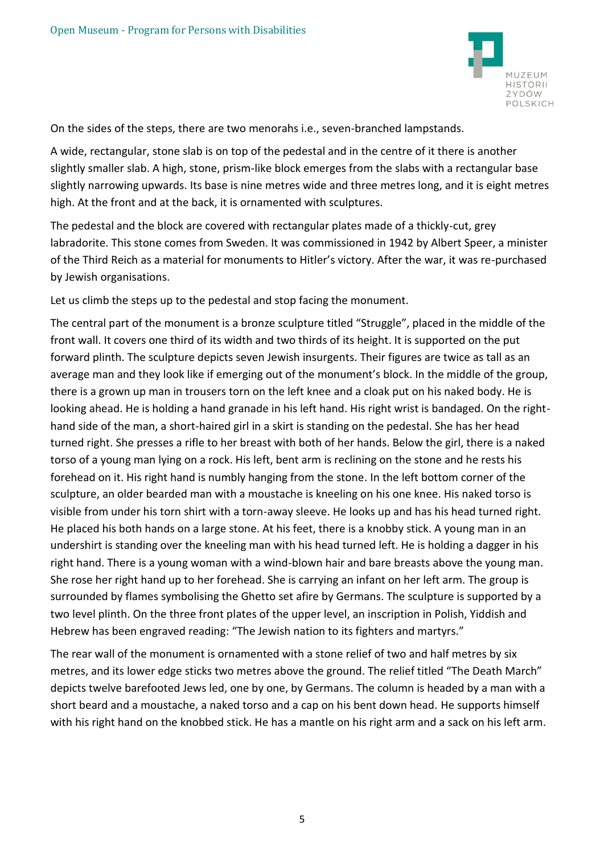

On the sides of the steps, there are two menorahs i.e., seven-branched lampstands.

A wide, rectangular, stone slab is on top of the pedestal and in the centre of it there is another slightly smaller slab. A high, stone, prism-like block emerges from the slabs with a rectangular base slightly narrowing upwards. Its base is nine metres wide and three metres long, and it is eight metres high. At the front and at the back, it is ornamented with sculptures.

The pedestal and the block are covered with rectangular plates made of a thickly-cut, grey labradorite. This stone comes from Sweden. It was commissioned in 1942 by Albert Speer, a minister of the Third Reich as a material for monuments to Hitler's victory. After the war, it was re-purchased by Jewish organisations.

Let us climb the steps up to the pedestal and stop facing the monument.

The central part of the monument is a bronze sculpture titled "Struggle", placed in the middle of the front wall. It covers one third of its width and two thirds of its height. It is supported on the put forward plinth. The sculpture depicts seven Jewish insurgents. Their figures are twice as tall as an average man and they look like if emerging out of the monument's block. In the middle of the group, there is a grown up man in trousers torn on the left knee and a cloak put on his naked body. He is looking ahead. He is holding a hand granade in his left hand. His right wrist is bandaged. On the righthand side of the man, a short-haired girl in a skirt is standing on the pedestal. She has her head turned right. She presses a rifle to her breast with both of her hands. Below the girl, there is a naked torso of a young man lying on a rock. His left, bent arm is reclining on the stone and he rests his forehead on it. His right hand is numbly hanging from the stone. In the left bottom corner of the sculpture, an older bearded man with a moustache is kneeling on his one knee. His naked torso is visible from under his torn shirt with a torn-away sleeve. He looks up and has his head turned right. He placed his both hands on a large stone. At his feet, there is a knobby stick. A young man in an undershirt is standing over the kneeling man with his head turned left. He is holding a dagger in his right hand. There is a young woman with a wind-blown hair and bare breasts above the young man. She rose her right hand up to her forehead. She is carrying an infant on her left arm. The group is surrounded by flames symbolising the Ghetto set afire by Germans. The sculpture is supported by a two level plinth. On the three front plates of the upper level, an inscription in Polish, Yiddish and Hebrew has been engraved reading: "The Jewish nation to its fighters and martyrs."

The rear wall of the monument is ornamented with a stone relief of two and half metres by six metres, and its lower edge sticks two metres above the ground. The relief titled "The Death March" depicts twelve barefooted Jews led, one by one, by Germans. The column is headed by a man with a short beard and a moustache, a naked torso and a cap on his bent down head. He supports himself with his right hand on the knobbed stick. He has a mantle on his right arm and a sack on his left arm.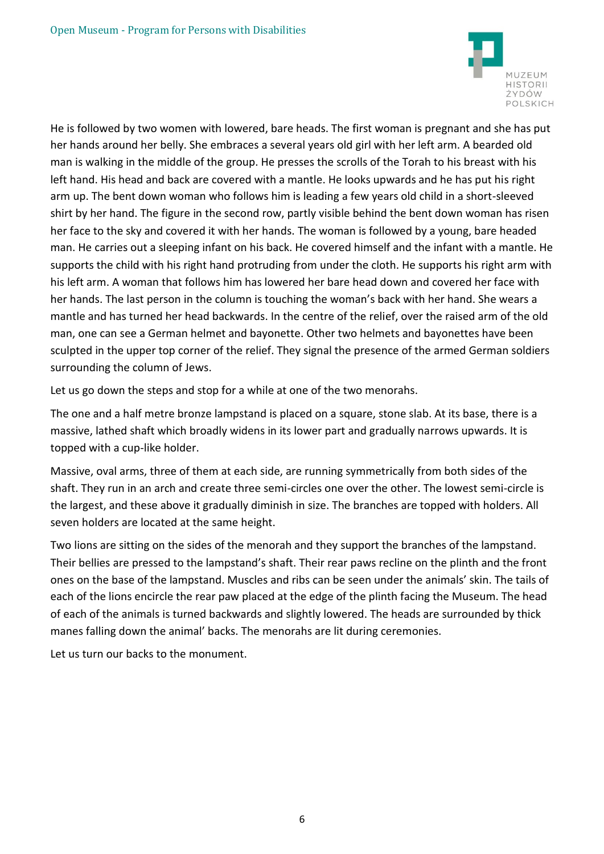

He is followed by two women with lowered, bare heads. The first woman is pregnant and she has put her hands around her belly. She embraces a several years old girl with her left arm. A bearded old man is walking in the middle of the group. He presses the scrolls of the Torah to his breast with his left hand. His head and back are covered with a mantle. He looks upwards and he has put his right arm up. The bent down woman who follows him is leading a few years old child in a short-sleeved shirt by her hand. The figure in the second row, partly visible behind the bent down woman has risen her face to the sky and covered it with her hands. The woman is followed by a young, bare headed man. He carries out a sleeping infant on his back. He covered himself and the infant with a mantle. He supports the child with his right hand protruding from under the cloth. He supports his right arm with his left arm. A woman that follows him has lowered her bare head down and covered her face with her hands. The last person in the column is touching the woman's back with her hand. She wears a mantle and has turned her head backwards. In the centre of the relief, over the raised arm of the old man, one can see a German helmet and bayonette. Other two helmets and bayonettes have been sculpted in the upper top corner of the relief. They signal the presence of the armed German soldiers surrounding the column of Jews.

Let us go down the steps and stop for a while at one of the two menorahs.

The one and a half metre bronze lampstand is placed on a square, stone slab. At its base, there is a massive, lathed shaft which broadly widens in its lower part and gradually narrows upwards. It is topped with a cup-like holder.

Massive, oval arms, three of them at each side, are running symmetrically from both sides of the shaft. They run in an arch and create three semi-circles one over the other. The lowest semi-circle is the largest, and these above it gradually diminish in size. The branches are topped with holders. All seven holders are located at the same height.

Two lions are sitting on the sides of the menorah and they support the branches of the lampstand. Their bellies are pressed to the lampstand's shaft. Their rear paws recline on the plinth and the front ones on the base of the lampstand. Muscles and ribs can be seen under the animals' skin. The tails of each of the lions encircle the rear paw placed at the edge of the plinth facing the Museum. The head of each of the animals is turned backwards and slightly lowered. The heads are surrounded by thick manes falling down the animal' backs. The menorahs are lit during ceremonies.

Let us turn our backs to the monument.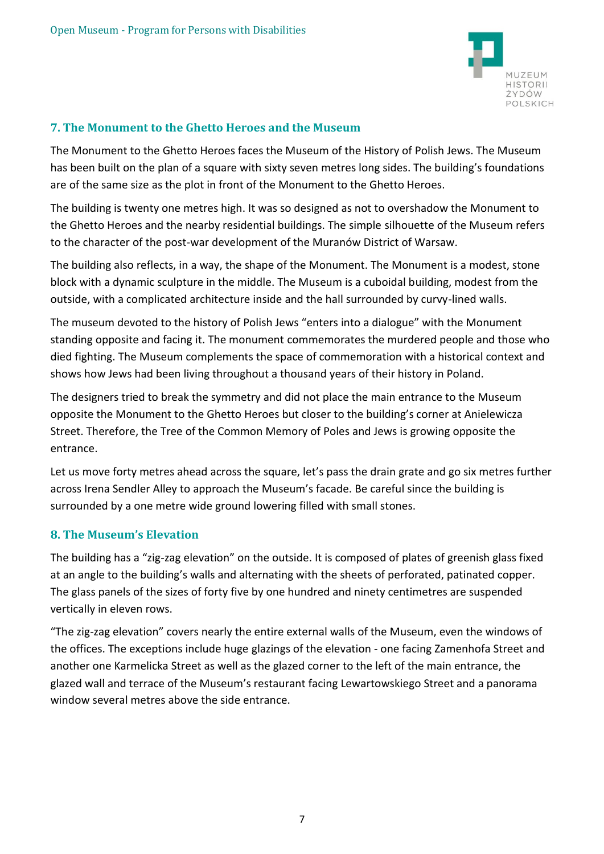

### **7. The Monument to the Ghetto Heroes and the Museum**

The Monument to the Ghetto Heroes faces the Museum of the History of Polish Jews. The Museum has been built on the plan of a square with sixty seven metres long sides. The building's foundations are of the same size as the plot in front of the Monument to the Ghetto Heroes.

The building is twenty one metres high. It was so designed as not to overshadow the Monument to the Ghetto Heroes and the nearby residential buildings. The simple silhouette of the Museum refers to the character of the post-war development of the Muranów District of Warsaw.

The building also reflects, in a way, the shape of the Monument. The Monument is a modest, stone block with a dynamic sculpture in the middle. The Museum is a cuboidal building, modest from the outside, with a complicated architecture inside and the hall surrounded by curvy-lined walls.

The museum devoted to the history of Polish Jews "enters into a dialogue" with the Monument standing opposite and facing it. The monument commemorates the murdered people and those who died fighting. The Museum complements the space of commemoration with a historical context and shows how Jews had been living throughout a thousand years of their history in Poland.

The designers tried to break the symmetry and did not place the main entrance to the Museum opposite the Monument to the Ghetto Heroes but closer to the building's corner at Anielewicza Street. Therefore, the Tree of the Common Memory of Poles and Jews is growing opposite the entrance.

Let us move forty metres ahead across the square, let's pass the drain grate and go six metres further across Irena Sendler Alley to approach the Museum's facade. Be careful since the building is surrounded by a one metre wide ground lowering filled with small stones.

## **8. The Museum's Elevation**

The building has a "zig-zag elevation" on the outside. It is composed of plates of greenish glass fixed at an angle to the building's walls and alternating with the sheets of perforated, patinated copper. The glass panels of the sizes of forty five by one hundred and ninety centimetres are suspended vertically in eleven rows.

"The zig-zag elevation" covers nearly the entire external walls of the Museum, even the windows of the offices. The exceptions include huge glazings of the elevation - one facing Zamenhofa Street and another one Karmelicka Street as well as the glazed corner to the left of the main entrance, the glazed wall and terrace of the Museum's restaurant facing Lewartowskiego Street and a panorama window several metres above the side entrance.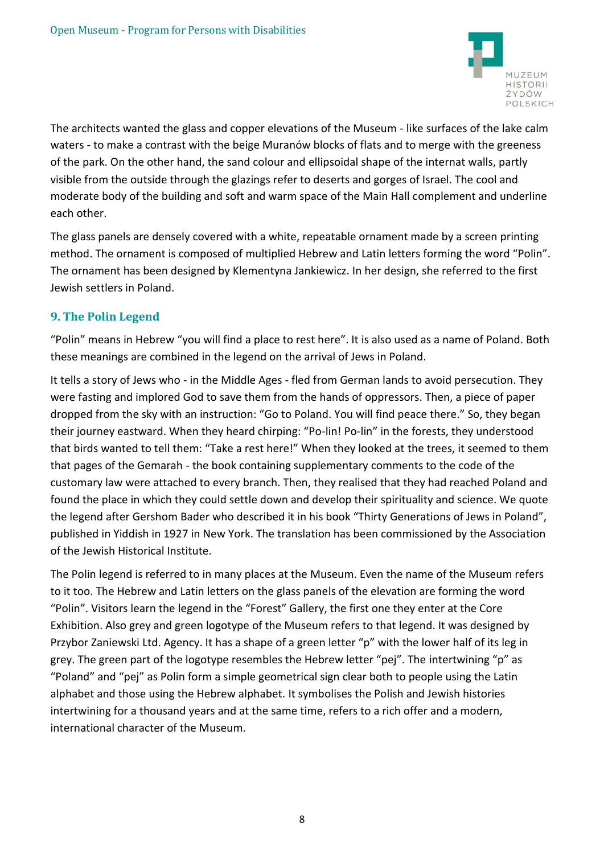

The architects wanted the glass and copper elevations of the Museum - like surfaces of the lake calm waters - to make a contrast with the beige Muranów blocks of flats and to merge with the greeness of the park. On the other hand, the sand colour and ellipsoidal shape of the internat walls, partly visible from the outside through the glazings refer to deserts and gorges of Israel. The cool and moderate body of the building and soft and warm space of the Main Hall complement and underline each other.

The glass panels are densely covered with a white, repeatable ornament made by a screen printing method. The ornament is composed of multiplied Hebrew and Latin letters forming the word "Polin". The ornament has been designed by Klementyna Jankiewicz. In her design, she referred to the first Jewish settlers in Poland.

# **9. The Polin Legend**

"Polin" means in Hebrew "you will find a place to rest here". It is also used as a name of Poland. Both these meanings are combined in the legend on the arrival of Jews in Poland.

It tells a story of Jews who - in the Middle Ages - fled from German lands to avoid persecution. They were fasting and implored God to save them from the hands of oppressors. Then, a piece of paper dropped from the sky with an instruction: "Go to Poland. You will find peace there." So, they began their journey eastward. When they heard chirping: "Po-lin! Po-lin" in the forests, they understood that birds wanted to tell them: "Take a rest here!" When they looked at the trees, it seemed to them that pages of the Gemarah - the book containing supplementary comments to the code of the customary law were attached to every branch. Then, they realised that they had reached Poland and found the place in which they could settle down and develop their spirituality and science. We quote the legend after Gershom Bader who described it in his book "Thirty Generations of Jews in Poland", published in Yiddish in 1927 in New York. The translation has been commissioned by the Association of the Jewish Historical Institute.

The Polin legend is referred to in many places at the Museum. Even the name of the Museum refers to it too. The Hebrew and Latin letters on the glass panels of the elevation are forming the word "Polin". Visitors learn the legend in the "Forest" Gallery, the first one they enter at the Core Exhibition. Also grey and green logotype of the Museum refers to that legend. It was designed by Przybor Zaniewski Ltd. Agency. It has a shape of a green letter "p" with the lower half of its leg in grey. The green part of the logotype resembles the Hebrew letter "pej". The intertwining "p" as "Poland" and "pej" as Polin form a simple geometrical sign clear both to people using the Latin alphabet and those using the Hebrew alphabet. It symbolises the Polish and Jewish histories intertwining for a thousand years and at the same time, refers to a rich offer and a modern, international character of the Museum.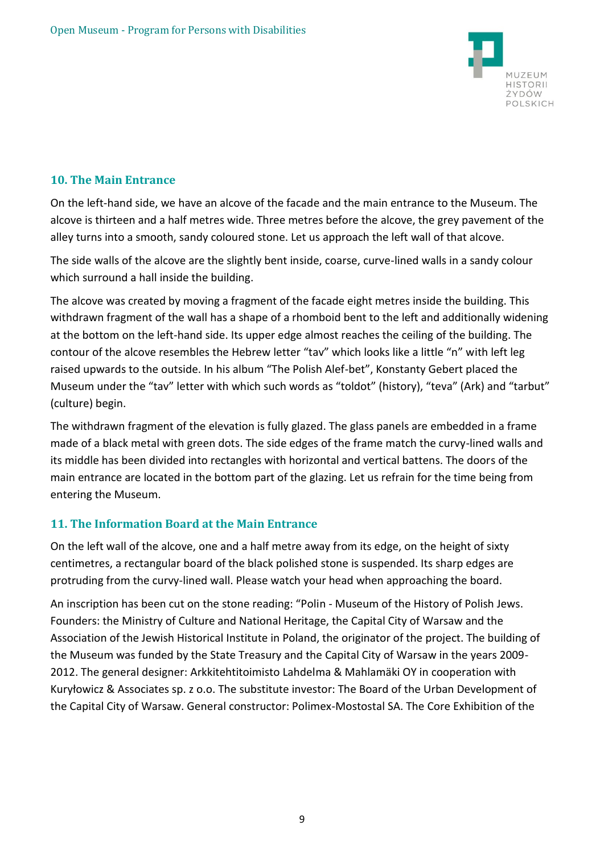

### **10. The Main Entrance**

On the left-hand side, we have an alcove of the facade and the main entrance to the Museum. The alcove is thirteen and a half metres wide. Three metres before the alcove, the grey pavement of the alley turns into a smooth, sandy coloured stone. Let us approach the left wall of that alcove.

The side walls of the alcove are the slightly bent inside, coarse, curve-lined walls in a sandy colour which surround a hall inside the building.

The alcove was created by moving a fragment of the facade eight metres inside the building. This withdrawn fragment of the wall has a shape of a rhomboid bent to the left and additionally widening at the bottom on the left-hand side. Its upper edge almost reaches the ceiling of the building. The contour of the alcove resembles the Hebrew letter "tav" which looks like a little "n" with left leg raised upwards to the outside. In his album "The Polish Alef-bet", Konstanty Gebert placed the Museum under the "tav" letter with which such words as "toldot" (history), "teva" (Ark) and "tarbut" (culture) begin.

The withdrawn fragment of the elevation is fully glazed. The glass panels are embedded in a frame made of a black metal with green dots. The side edges of the frame match the curvy-lined walls and its middle has been divided into rectangles with horizontal and vertical battens. The doors of the main entrance are located in the bottom part of the glazing. Let us refrain for the time being from entering the Museum.

## **11. The Information Board at the Main Entrance**

On the left wall of the alcove, one and a half metre away from its edge, on the height of sixty centimetres, a rectangular board of the black polished stone is suspended. Its sharp edges are protruding from the curvy-lined wall. Please watch your head when approaching the board.

An inscription has been cut on the stone reading: "Polin - Museum of the History of Polish Jews. Founders: the Ministry of Culture and National Heritage, the Capital City of Warsaw and the Association of the Jewish Historical Institute in Poland, the originator of the project. The building of the Museum was funded by the State Treasury and the Capital City of Warsaw in the years 2009- 2012. The general designer: Arkkitehtitoimisto Lahdelma & Mahlamäki OY in cooperation with Kuryłowicz & Associates sp. z o.o. The substitute investor: The Board of the Urban Development of the Capital City of Warsaw. General constructor: Polimex-Mostostal SA. The Core Exhibition of the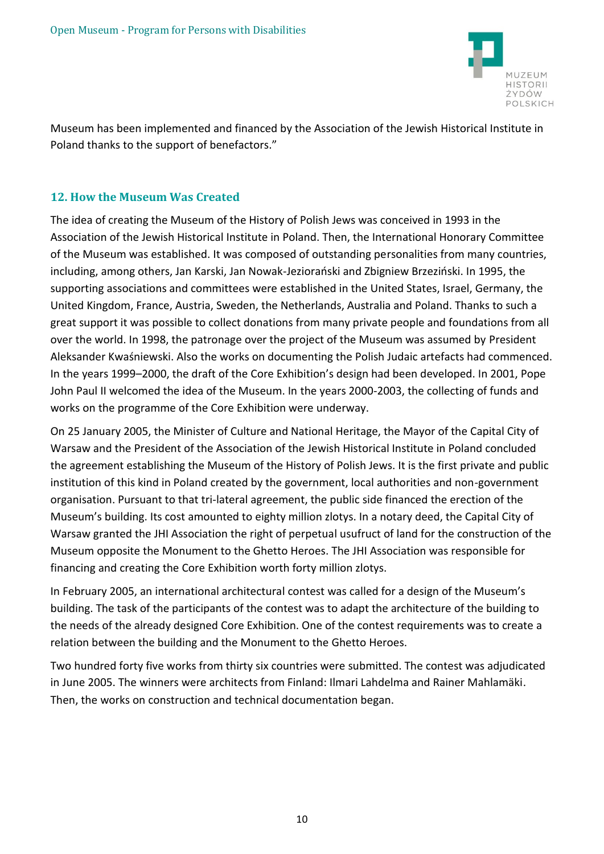

Museum has been implemented and financed by the Association of the Jewish Historical Institute in Poland thanks to the support of benefactors."

### **12. How the Museum Was Created**

The idea of creating the Museum of the History of Polish Jews was conceived in 1993 in the Association of the Jewish Historical Institute in Poland. Then, the International Honorary Committee of the Museum was established. It was composed of outstanding personalities from many countries, including, among others, Jan Karski, Jan Nowak-Jeziorański and Zbigniew Brzeziński. In 1995, the supporting associations and committees were established in the United States, Israel, Germany, the United Kingdom, France, Austria, Sweden, the Netherlands, Australia and Poland. Thanks to such a great support it was possible to collect donations from many private people and foundations from all over the world. In 1998, the patronage over the project of the Museum was assumed by President Aleksander Kwaśniewski. Also the works on documenting the Polish Judaic artefacts had commenced. In the years 1999–2000, the draft of the Core Exhibition's design had been developed. In 2001, Pope John Paul II welcomed the idea of the Museum. In the years 2000-2003, the collecting of funds and works on the programme of the Core Exhibition were underway.

On 25 January 2005, the Minister of Culture and National Heritage, the Mayor of the Capital City of Warsaw and the President of the Association of the Jewish Historical Institute in Poland concluded the agreement establishing the Museum of the History of Polish Jews. It is the first private and public institution of this kind in Poland created by the government, local authorities and non-government organisation. Pursuant to that tri-lateral agreement, the public side financed the erection of the Museum's building. Its cost amounted to eighty million zlotys. In a notary deed, the Capital City of Warsaw granted the JHI Association the right of perpetual usufruct of land for the construction of the Museum opposite the Monument to the Ghetto Heroes. The JHI Association was responsible for financing and creating the Core Exhibition worth forty million zlotys.

In February 2005, an international architectural contest was called for a design of the Museum's building. The task of the participants of the contest was to adapt the architecture of the building to the needs of the already designed Core Exhibition. One of the contest requirements was to create a relation between the building and the Monument to the Ghetto Heroes.

Two hundred forty five works from thirty six countries were submitted. The contest was adjudicated in June 2005. The winners were architects from Finland: Ilmari Lahdelma and Rainer Mahlamäki. Then, the works on construction and technical documentation began.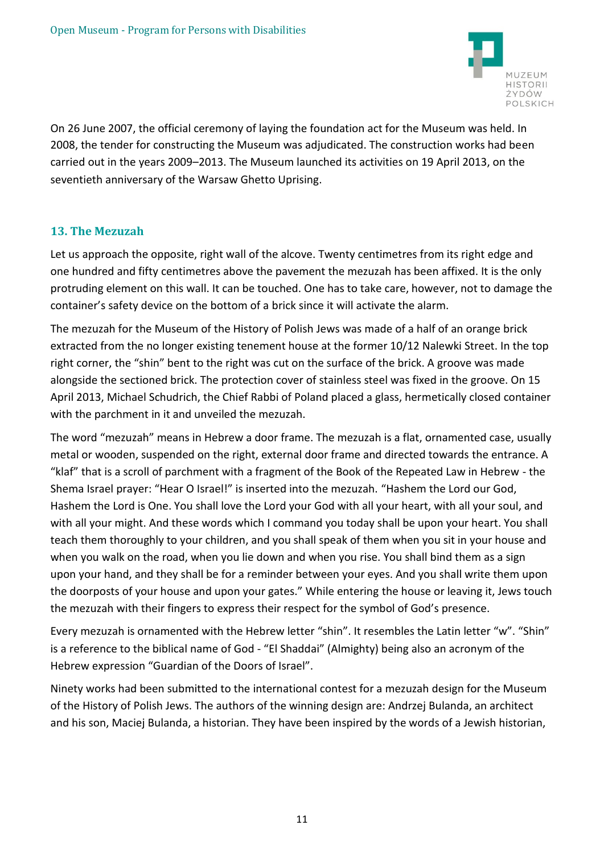

On 26 June 2007, the official ceremony of laying the foundation act for the Museum was held. In 2008, the tender for constructing the Museum was adjudicated. The construction works had been carried out in the years 2009–2013. The Museum launched its activities on 19 April 2013, on the seventieth anniversary of the Warsaw Ghetto Uprising.

## **13. The Mezuzah**

Let us approach the opposite, right wall of the alcove. Twenty centimetres from its right edge and one hundred and fifty centimetres above the pavement the mezuzah has been affixed. It is the only protruding element on this wall. It can be touched. One has to take care, however, not to damage the container's safety device on the bottom of a brick since it will activate the alarm.

The mezuzah for the Museum of the History of Polish Jews was made of a half of an orange brick extracted from the no longer existing tenement house at the former 10/12 Nalewki Street. In the top right corner, the "shin" bent to the right was cut on the surface of the brick. A groove was made alongside the sectioned brick. The protection cover of stainless steel was fixed in the groove. On 15 April 2013, Michael Schudrich, the Chief Rabbi of Poland placed a glass, hermetically closed container with the parchment in it and unveiled the mezuzah.

The word "mezuzah" means in Hebrew a door frame. The mezuzah is a flat, ornamented case, usually metal or wooden, suspended on the right, external door frame and directed towards the entrance. A "klaf" that is a scroll of parchment with a fragment of the Book of the Repeated Law in Hebrew - the Shema Israel prayer: "Hear O Israel!" is inserted into the mezuzah. "Hashem the Lord our God, Hashem the Lord is One. You shall love the Lord your God with all your heart, with all your soul, and with all your might. And these words which I command you today shall be upon your heart. You shall teach them thoroughly to your children, and you shall speak of them when you sit in your house and when you walk on the road, when you lie down and when you rise. You shall bind them as a sign upon your hand, and they shall be for a reminder between your eyes. And you shall write them upon the doorposts of your house and upon your gates." While entering the house or leaving it, Jews touch the mezuzah with their fingers to express their respect for the symbol of God's presence.

Every mezuzah is ornamented with the Hebrew letter "shin". It resembles the Latin letter "w". "Shin" is a reference to the biblical name of God - "El Shaddai" (Almighty) being also an acronym of the Hebrew expression "Guardian of the Doors of Israel".

Ninety works had been submitted to the international contest for a mezuzah design for the Museum of the History of Polish Jews. The authors of the winning design are: Andrzej Bulanda, an architect and his son, Maciej Bulanda, a historian. They have been inspired by the words of a Jewish historian,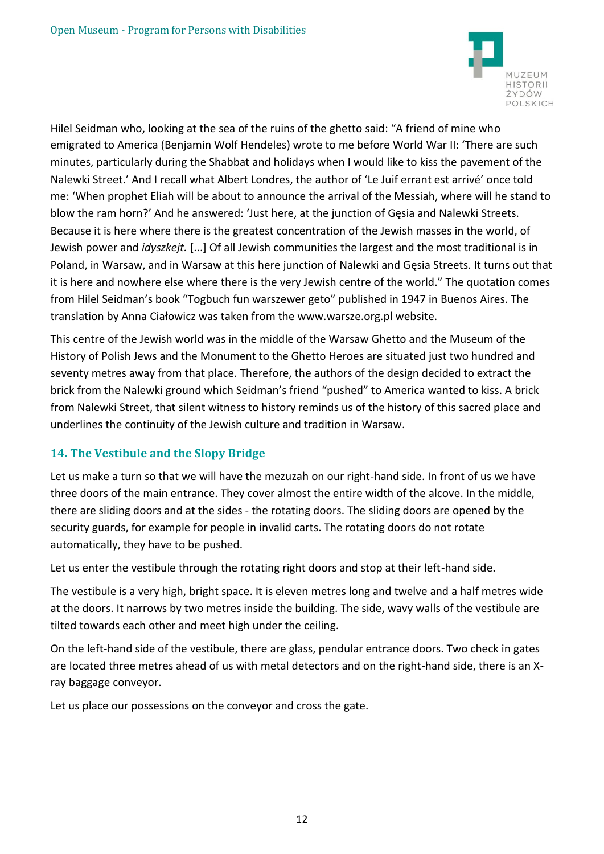

Hilel Seidman who, looking at the sea of the ruins of the ghetto said: "A friend of mine who emigrated to America (Benjamin Wolf Hendeles) wrote to me before World War II: 'There are such minutes, particularly during the Shabbat and holidays when I would like to kiss the pavement of the Nalewki Street.' And I recall what Albert Londres, the author of 'Le Juif errant est arrivé' once told me: 'When prophet Eliah will be about to announce the arrival of the Messiah, where will he stand to blow the ram horn?' And he answered: 'Just here, at the junction of Gęsia and Nalewki Streets. Because it is here where there is the greatest concentration of the Jewish masses in the world, of Jewish power and *idyszkejt.* [...] Of all Jewish communities the largest and the most traditional is in Poland, in Warsaw, and in Warsaw at this here junction of Nalewki and Gęsia Streets. It turns out that it is here and nowhere else where there is the very Jewish centre of the world." The quotation comes from Hilel Seidman's book "Togbuch fun warszewer geto" published in 1947 in Buenos Aires. The translation by Anna Ciałowicz was taken from the www.warsze.org.pl website.

This centre of the Jewish world was in the middle of the Warsaw Ghetto and the Museum of the History of Polish Jews and the Monument to the Ghetto Heroes are situated just two hundred and seventy metres away from that place. Therefore, the authors of the design decided to extract the brick from the Nalewki ground which Seidman's friend "pushed" to America wanted to kiss. A brick from Nalewki Street, that silent witness to history reminds us of the history of this sacred place and underlines the continuity of the Jewish culture and tradition in Warsaw.

## **14. The Vestibule and the Slopy Bridge**

Let us make a turn so that we will have the mezuzah on our right-hand side. In front of us we have three doors of the main entrance. They cover almost the entire width of the alcove. In the middle, there are sliding doors and at the sides - the rotating doors. The sliding doors are opened by the security guards, for example for people in invalid carts. The rotating doors do not rotate automatically, they have to be pushed.

Let us enter the vestibule through the rotating right doors and stop at their left-hand side.

The vestibule is a very high, bright space. It is eleven metres long and twelve and a half metres wide at the doors. It narrows by two metres inside the building. The side, wavy walls of the vestibule are tilted towards each other and meet high under the ceiling.

On the left-hand side of the vestibule, there are glass, pendular entrance doors. Two check in gates are located three metres ahead of us with metal detectors and on the right-hand side, there is an Xray baggage conveyor.

Let us place our possessions on the conveyor and cross the gate.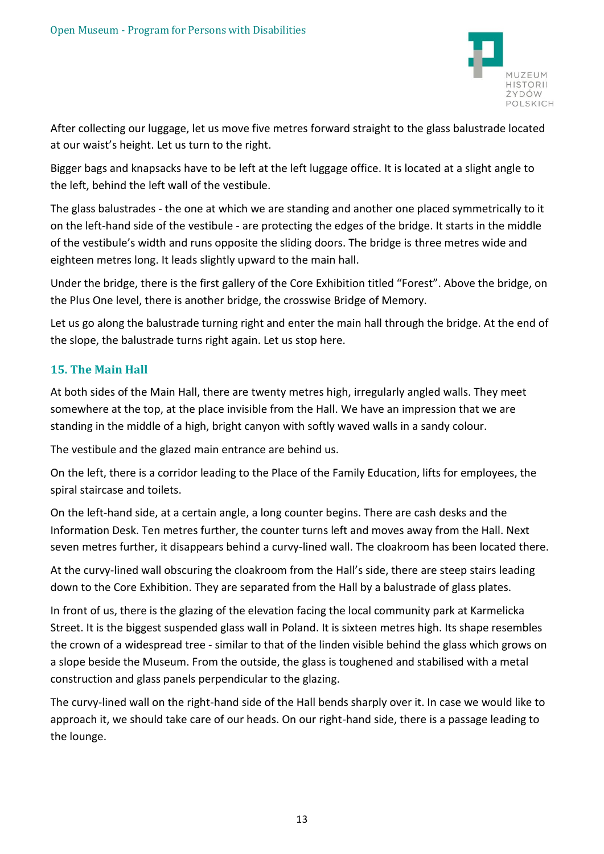

After collecting our luggage, let us move five metres forward straight to the glass balustrade located at our waist's height. Let us turn to the right.

Bigger bags and knapsacks have to be left at the left luggage office. It is located at a slight angle to the left, behind the left wall of the vestibule.

The glass balustrades - the one at which we are standing and another one placed symmetrically to it on the left-hand side of the vestibule - are protecting the edges of the bridge. It starts in the middle of the vestibule's width and runs opposite the sliding doors. The bridge is three metres wide and eighteen metres long. It leads slightly upward to the main hall.

Under the bridge, there is the first gallery of the Core Exhibition titled "Forest". Above the bridge, on the Plus One level, there is another bridge, the crosswise Bridge of Memory.

Let us go along the balustrade turning right and enter the main hall through the bridge. At the end of the slope, the balustrade turns right again. Let us stop here.

## **15. The Main Hall**

At both sides of the Main Hall, there are twenty metres high, irregularly angled walls. They meet somewhere at the top, at the place invisible from the Hall. We have an impression that we are standing in the middle of a high, bright canyon with softly waved walls in a sandy colour.

The vestibule and the glazed main entrance are behind us.

On the left, there is a corridor leading to the Place of the Family Education, lifts for employees, the spiral staircase and toilets.

On the left-hand side, at a certain angle, a long counter begins. There are cash desks and the Information Desk. Ten metres further, the counter turns left and moves away from the Hall. Next seven metres further, it disappears behind a curvy-lined wall. The cloakroom has been located there.

At the curvy-lined wall obscuring the cloakroom from the Hall's side, there are steep stairs leading down to the Core Exhibition. They are separated from the Hall by a balustrade of glass plates.

In front of us, there is the glazing of the elevation facing the local community park at Karmelicka Street. It is the biggest suspended glass wall in Poland. It is sixteen metres high. Its shape resembles the crown of a widespread tree - similar to that of the linden visible behind the glass which grows on a slope beside the Museum. From the outside, the glass is toughened and stabilised with a metal construction and glass panels perpendicular to the glazing.

The curvy-lined wall on the right-hand side of the Hall bends sharply over it. In case we would like to approach it, we should take care of our heads. On our right-hand side, there is a passage leading to the lounge.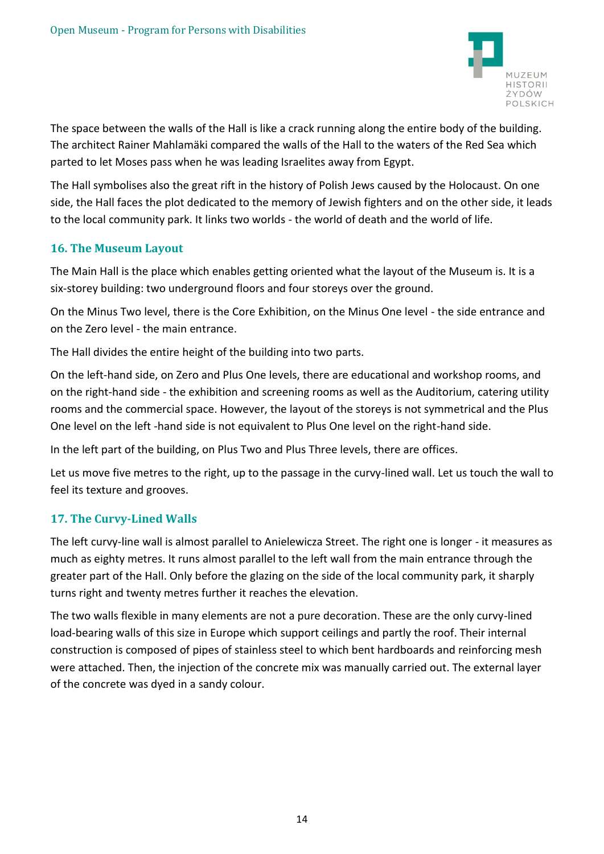

The space between the walls of the Hall is like a crack running along the entire body of the building. The architect Rainer Mahlamäki compared the walls of the Hall to the waters of the Red Sea which parted to let Moses pass when he was leading Israelites away from Egypt.

The Hall symbolises also the great rift in the history of Polish Jews caused by the Holocaust. On one side, the Hall faces the plot dedicated to the memory of Jewish fighters and on the other side, it leads to the local community park. It links two worlds - the world of death and the world of life.

### **16. The Museum Layout**

The Main Hall is the place which enables getting oriented what the layout of the Museum is. It is a six-storey building: two underground floors and four storeys over the ground.

On the Minus Two level, there is the Core Exhibition, on the Minus One level - the side entrance and on the Zero level - the main entrance.

The Hall divides the entire height of the building into two parts.

On the left-hand side, on Zero and Plus One levels, there are educational and workshop rooms, and on the right-hand side - the exhibition and screening rooms as well as the Auditorium, catering utility rooms and the commercial space. However, the layout of the storeys is not symmetrical and the Plus One level on the left -hand side is not equivalent to Plus One level on the right-hand side.

In the left part of the building, on Plus Two and Plus Three levels, there are offices.

Let us move five metres to the right, up to the passage in the curvy-lined wall. Let us touch the wall to feel its texture and grooves.

## **17. The Curvy-Lined Walls**

The left curvy-line wall is almost parallel to Anielewicza Street. The right one is longer - it measures as much as eighty metres. It runs almost parallel to the left wall from the main entrance through the greater part of the Hall. Only before the glazing on the side of the local community park, it sharply turns right and twenty metres further it reaches the elevation.

The two walls flexible in many elements are not a pure decoration. These are the only curvy-lined load-bearing walls of this size in Europe which support ceilings and partly the roof. Their internal construction is composed of pipes of stainless steel to which bent hardboards and reinforcing mesh were attached. Then, the injection of the concrete mix was manually carried out. The external layer of the concrete was dyed in a sandy colour.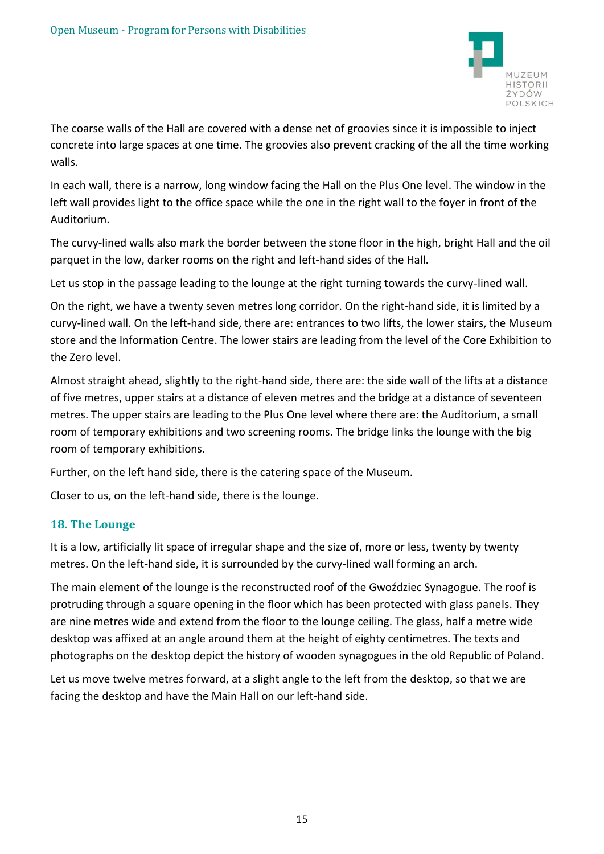

The coarse walls of the Hall are covered with a dense net of groovies since it is impossible to inject concrete into large spaces at one time. The groovies also prevent cracking of the all the time working walls.

In each wall, there is a narrow, long window facing the Hall on the Plus One level. The window in the left wall provides light to the office space while the one in the right wall to the foyer in front of the Auditorium.

The curvy-lined walls also mark the border between the stone floor in the high, bright Hall and the oil parquet in the low, darker rooms on the right and left-hand sides of the Hall.

Let us stop in the passage leading to the lounge at the right turning towards the curvy-lined wall.

On the right, we have a twenty seven metres long corridor. On the right-hand side, it is limited by a curvy-lined wall. On the left-hand side, there are: entrances to two lifts, the lower stairs, the Museum store and the Information Centre. The lower stairs are leading from the level of the Core Exhibition to the Zero level.

Almost straight ahead, slightly to the right-hand side, there are: the side wall of the lifts at a distance of five metres, upper stairs at a distance of eleven metres and the bridge at a distance of seventeen metres. The upper stairs are leading to the Plus One level where there are: the Auditorium, a small room of temporary exhibitions and two screening rooms. The bridge links the lounge with the big room of temporary exhibitions.

Further, on the left hand side, there is the catering space of the Museum.

Closer to us, on the left-hand side, there is the lounge.

#### **18. The Lounge**

It is a low, artificially lit space of irregular shape and the size of, more or less, twenty by twenty metres. On the left-hand side, it is surrounded by the curvy-lined wall forming an arch.

The main element of the lounge is the reconstructed roof of the Gwoździec Synagogue. The roof is protruding through a square opening in the floor which has been protected with glass panels. They are nine metres wide and extend from the floor to the lounge ceiling. The glass, half a metre wide desktop was affixed at an angle around them at the height of eighty centimetres. The texts and photographs on the desktop depict the history of wooden synagogues in the old Republic of Poland.

Let us move twelve metres forward, at a slight angle to the left from the desktop, so that we are facing the desktop and have the Main Hall on our left-hand side.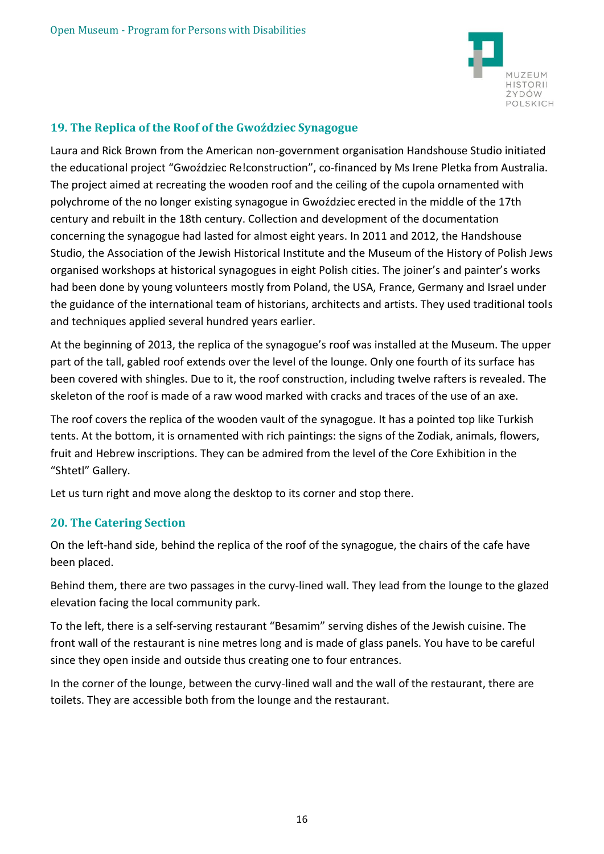

## **19. The Replica of the Roof of the Gwoździec Synagogue**

Laura and Rick Brown from the American non-government organisation Handshouse Studio initiated the educational project "Gwoździec Re!construction", co-financed by Ms Irene Pletka from Australia. The project aimed at recreating the wooden roof and the ceiling of the cupola ornamented with polychrome of the no longer existing synagogue in Gwoździec erected in the middle of the 17th century and rebuilt in the 18th century. Collection and development of the documentation concerning the synagogue had lasted for almost eight years. In 2011 and 2012, the Handshouse Studio, the Association of the Jewish Historical Institute and the Museum of the History of Polish Jews organised workshops at historical synagogues in eight Polish cities. The joiner's and painter's works had been done by young volunteers mostly from Poland, the USA, France, Germany and Israel under the guidance of the international team of historians, architects and artists. They used traditional tools and techniques applied several hundred years earlier.

At the beginning of 2013, the replica of the synagogue's roof was installed at the Museum. The upper part of the tall, gabled roof extends over the level of the lounge. Only one fourth of its surface has been covered with shingles. Due to it, the roof construction, including twelve rafters is revealed. The skeleton of the roof is made of a raw wood marked with cracks and traces of the use of an axe.

The roof covers the replica of the wooden vault of the synagogue. It has a pointed top like Turkish tents. At the bottom, it is ornamented with rich paintings: the signs of the Zodiak, animals, flowers, fruit and Hebrew inscriptions. They can be admired from the level of the Core Exhibition in the "Shtetl" Gallery.

Let us turn right and move along the desktop to its corner and stop there.

## **20. The Catering Section**

On the left-hand side, behind the replica of the roof of the synagogue, the chairs of the cafe have been placed.

Behind them, there are two passages in the curvy-lined wall. They lead from the lounge to the glazed elevation facing the local community park.

To the left, there is a self-serving restaurant "Besamim" serving dishes of the Jewish cuisine. The front wall of the restaurant is nine metres long and is made of glass panels. You have to be careful since they open inside and outside thus creating one to four entrances.

In the corner of the lounge, between the curvy-lined wall and the wall of the restaurant, there are toilets. They are accessible both from the lounge and the restaurant.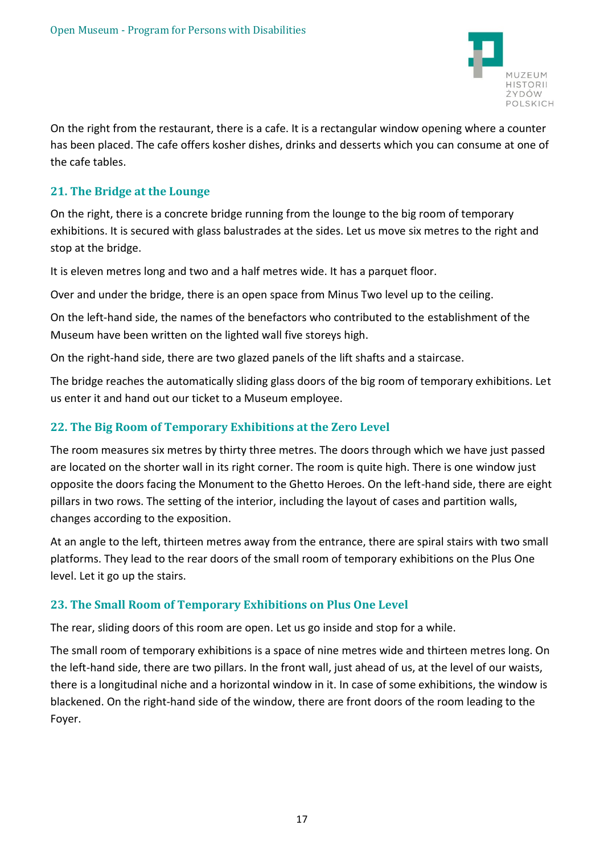

On the right from the restaurant, there is a cafe. It is a rectangular window opening where a counter has been placed. The cafe offers kosher dishes, drinks and desserts which you can consume at one of the cafe tables.

## **21. The Bridge at the Lounge**

On the right, there is a concrete bridge running from the lounge to the big room of temporary exhibitions. It is secured with glass balustrades at the sides. Let us move six metres to the right and stop at the bridge.

It is eleven metres long and two and a half metres wide. It has a parquet floor.

Over and under the bridge, there is an open space from Minus Two level up to the ceiling.

On the left-hand side, the names of the benefactors who contributed to the establishment of the Museum have been written on the lighted wall five storeys high.

On the right-hand side, there are two glazed panels of the lift shafts and a staircase.

The bridge reaches the automatically sliding glass doors of the big room of temporary exhibitions. Let us enter it and hand out our ticket to a Museum employee.

### **22. The Big Room of Temporary Exhibitions at the Zero Level**

The room measures six metres by thirty three metres. The doors through which we have just passed are located on the shorter wall in its right corner. The room is quite high. There is one window just opposite the doors facing the Monument to the Ghetto Heroes. On the left-hand side, there are eight pillars in two rows. The setting of the interior, including the layout of cases and partition walls, changes according to the exposition.

At an angle to the left, thirteen metres away from the entrance, there are spiral stairs with two small platforms. They lead to the rear doors of the small room of temporary exhibitions on the Plus One level. Let it go up the stairs.

## **23. The Small Room of Temporary Exhibitions on Plus One Level**

The rear, sliding doors of this room are open. Let us go inside and stop for a while.

The small room of temporary exhibitions is a space of nine metres wide and thirteen metres long. On the left-hand side, there are two pillars. In the front wall, just ahead of us, at the level of our waists, there is a longitudinal niche and a horizontal window in it. In case of some exhibitions, the window is blackened. On the right-hand side of the window, there are front doors of the room leading to the Foyer.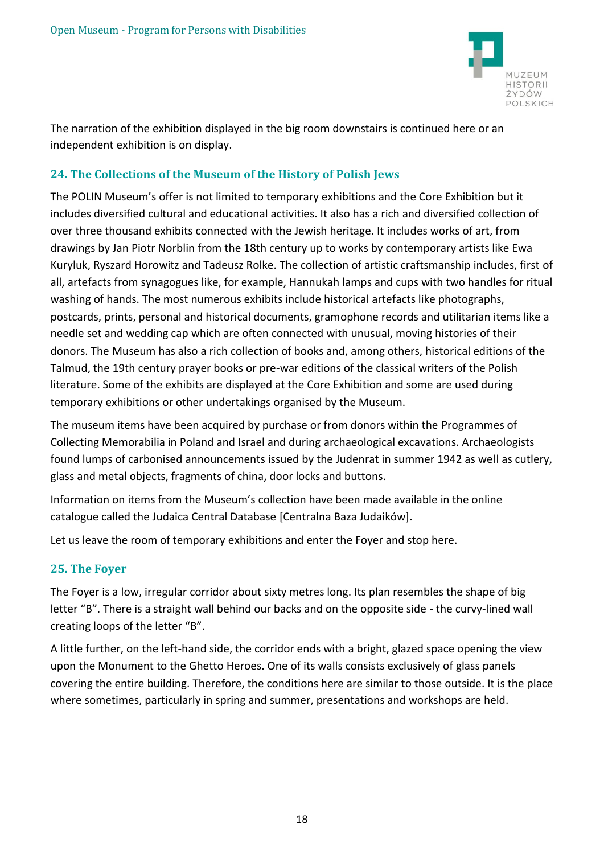

The narration of the exhibition displayed in the big room downstairs is continued here or an independent exhibition is on display.

## **24. The Collections of the Museum of the History of Polish Jews**

The POLIN Museum's offer is not limited to temporary exhibitions and the Core Exhibition but it includes diversified cultural and educational activities. It also has a rich and diversified collection of over three thousand exhibits connected with the Jewish heritage. It includes works of art, from drawings by Jan Piotr Norblin from the 18th century up to works by contemporary artists like Ewa Kuryluk, Ryszard Horowitz and Tadeusz Rolke. The collection of artistic craftsmanship includes, first of all, artefacts from synagogues like, for example, Hannukah lamps and cups with two handles for ritual washing of hands. The most numerous exhibits include historical artefacts like photographs, postcards, prints, personal and historical documents, gramophone records and utilitarian items like a needle set and wedding cap which are often connected with unusual, moving histories of their donors. The Museum has also a rich collection of books and, among others, historical editions of the Talmud, the 19th century prayer books or pre-war editions of the classical writers of the Polish literature. Some of the exhibits are displayed at the Core Exhibition and some are used during temporary exhibitions or other undertakings organised by the Museum.

The museum items have been acquired by purchase or from donors within the Programmes of Collecting Memorabilia in Poland and Israel and during archaeological excavations. Archaeologists found lumps of carbonised announcements issued by the Judenrat in summer 1942 as well as cutlery, glass and metal objects, fragments of china, door locks and buttons.

Information on items from the Museum's collection have been made available in the online catalogue called the Judaica Central Database [Centralna Baza Judaików].

Let us leave the room of temporary exhibitions and enter the Foyer and stop here.

#### **25. The Foyer**

The Foyer is a low, irregular corridor about sixty metres long. Its plan resembles the shape of big letter "B". There is a straight wall behind our backs and on the opposite side - the curvy-lined wall creating loops of the letter "B".

A little further, on the left-hand side, the corridor ends with a bright, glazed space opening the view upon the Monument to the Ghetto Heroes. One of its walls consists exclusively of glass panels covering the entire building. Therefore, the conditions here are similar to those outside. It is the place where sometimes, particularly in spring and summer, presentations and workshops are held.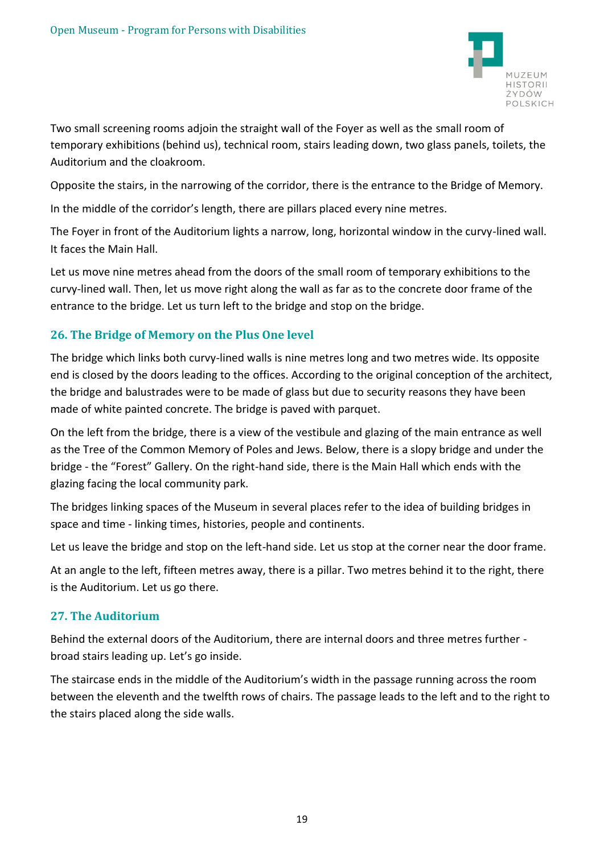

Two small screening rooms adjoin the straight wall of the Foyer as well as the small room of temporary exhibitions (behind us), technical room, stairs leading down, two glass panels, toilets, the Auditorium and the cloakroom.

Opposite the stairs, in the narrowing of the corridor, there is the entrance to the Bridge of Memory.

In the middle of the corridor's length, there are pillars placed every nine metres.

The Foyer in front of the Auditorium lights a narrow, long, horizontal window in the curvy-lined wall. It faces the Main Hall.

Let us move nine metres ahead from the doors of the small room of temporary exhibitions to the curvy-lined wall. Then, let us move right along the wall as far as to the concrete door frame of the entrance to the bridge. Let us turn left to the bridge and stop on the bridge.

# **26. The Bridge of Memory on the Plus One level**

The bridge which links both curvy-lined walls is nine metres long and two metres wide. Its opposite end is closed by the doors leading to the offices. According to the original conception of the architect, the bridge and balustrades were to be made of glass but due to security reasons they have been made of white painted concrete. The bridge is paved with parquet.

On the left from the bridge, there is a view of the vestibule and glazing of the main entrance as well as the Tree of the Common Memory of Poles and Jews. Below, there is a slopy bridge and under the bridge - the "Forest" Gallery. On the right-hand side, there is the Main Hall which ends with the glazing facing the local community park.

The bridges linking spaces of the Museum in several places refer to the idea of building bridges in space and time - linking times, histories, people and continents.

Let us leave the bridge and stop on the left-hand side. Let us stop at the corner near the door frame.

At an angle to the left, fifteen metres away, there is a pillar. Two metres behind it to the right, there is the Auditorium. Let us go there.

## **27. The Auditorium**

Behind the external doors of the Auditorium, there are internal doors and three metres further broad stairs leading up. Let's go inside.

The staircase ends in the middle of the Auditorium's width in the passage running across the room between the eleventh and the twelfth rows of chairs. The passage leads to the left and to the right to the stairs placed along the side walls.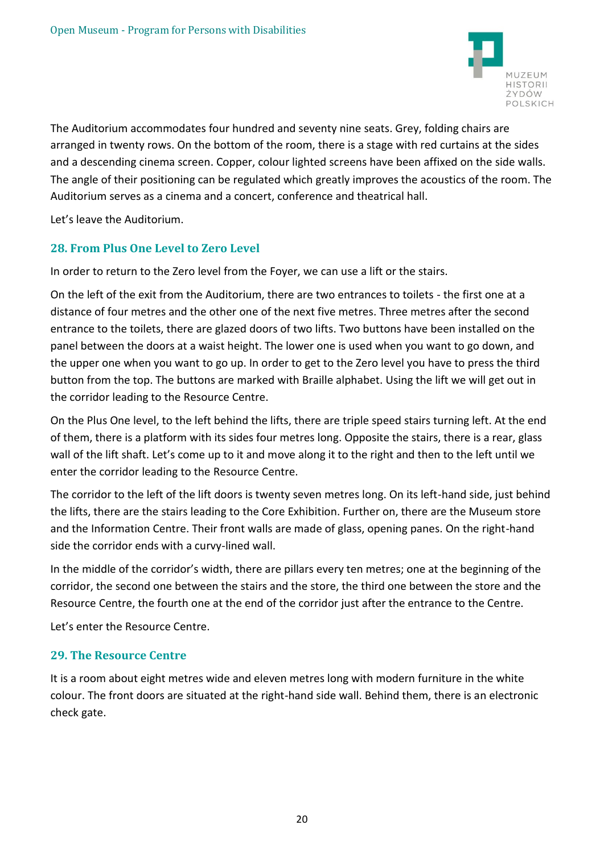

The Auditorium accommodates four hundred and seventy nine seats. Grey, folding chairs are arranged in twenty rows. On the bottom of the room, there is a stage with red curtains at the sides and a descending cinema screen. Copper, colour lighted screens have been affixed on the side walls. The angle of their positioning can be regulated which greatly improves the acoustics of the room. The Auditorium serves as a cinema and a concert, conference and theatrical hall.

Let's leave the Auditorium.

## **28. From Plus One Level to Zero Level**

In order to return to the Zero level from the Foyer, we can use a lift or the stairs.

On the left of the exit from the Auditorium, there are two entrances to toilets - the first one at a distance of four metres and the other one of the next five metres. Three metres after the second entrance to the toilets, there are glazed doors of two lifts. Two buttons have been installed on the panel between the doors at a waist height. The lower one is used when you want to go down, and the upper one when you want to go up. In order to get to the Zero level you have to press the third button from the top. The buttons are marked with Braille alphabet. Using the lift we will get out in the corridor leading to the Resource Centre.

On the Plus One level, to the left behind the lifts, there are triple speed stairs turning left. At the end of them, there is a platform with its sides four metres long. Opposite the stairs, there is a rear, glass wall of the lift shaft. Let's come up to it and move along it to the right and then to the left until we enter the corridor leading to the Resource Centre.

The corridor to the left of the lift doors is twenty seven metres long. On its left-hand side, just behind the lifts, there are the stairs leading to the Core Exhibition. Further on, there are the Museum store and the Information Centre. Their front walls are made of glass, opening panes. On the right-hand side the corridor ends with a curvy-lined wall.

In the middle of the corridor's width, there are pillars every ten metres; one at the beginning of the corridor, the second one between the stairs and the store, the third one between the store and the Resource Centre, the fourth one at the end of the corridor just after the entrance to the Centre.

Let's enter the Resource Centre.

#### **29. The Resource Centre**

It is a room about eight metres wide and eleven metres long with modern furniture in the white colour. The front doors are situated at the right-hand side wall. Behind them, there is an electronic check gate.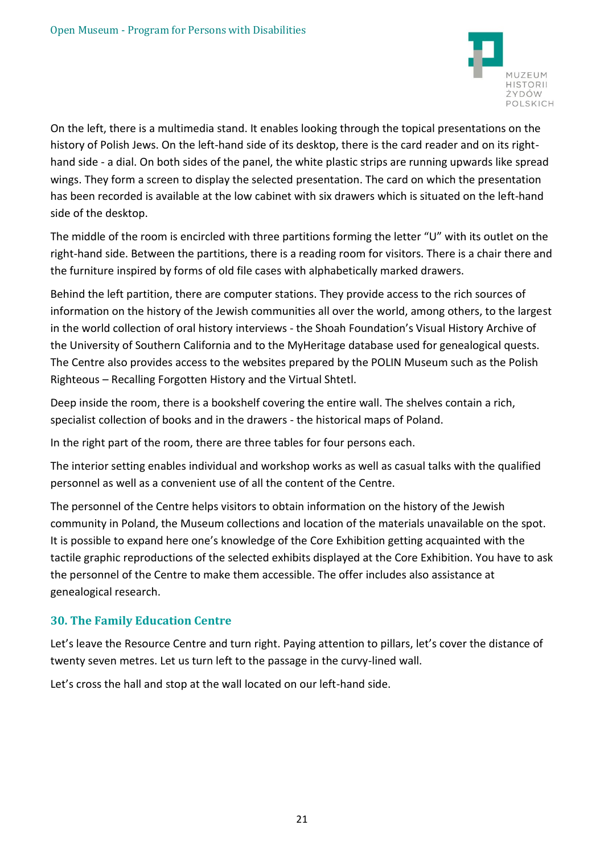

On the left, there is a multimedia stand. It enables looking through the topical presentations on the history of Polish Jews. On the left-hand side of its desktop, there is the card reader and on its righthand side - a dial. On both sides of the panel, the white plastic strips are running upwards like spread wings. They form a screen to display the selected presentation. The card on which the presentation has been recorded is available at the low cabinet with six drawers which is situated on the left-hand side of the desktop.

The middle of the room is encircled with three partitions forming the letter "U" with its outlet on the right-hand side. Between the partitions, there is a reading room for visitors. There is a chair there and the furniture inspired by forms of old file cases with alphabetically marked drawers.

Behind the left partition, there are computer stations. They provide access to the rich sources of information on the history of the Jewish communities all over the world, among others, to the largest in the world collection of oral history interviews - the Shoah Foundation's Visual History Archive of the University of Southern California and to the MyHeritage database used for genealogical quests. The Centre also provides access to the websites prepared by the POLIN Museum such as the Polish Righteous – Recalling Forgotten History and the Virtual Shtetl.

Deep inside the room, there is a bookshelf covering the entire wall. The shelves contain a rich, specialist collection of books and in the drawers - the historical maps of Poland.

In the right part of the room, there are three tables for four persons each.

The interior setting enables individual and workshop works as well as casual talks with the qualified personnel as well as a convenient use of all the content of the Centre.

The personnel of the Centre helps visitors to obtain information on the history of the Jewish community in Poland, the Museum collections and location of the materials unavailable on the spot. It is possible to expand here one's knowledge of the Core Exhibition getting acquainted with the tactile graphic reproductions of the selected exhibits displayed at the Core Exhibition. You have to ask the personnel of the Centre to make them accessible. The offer includes also assistance at genealogical research.

## **30. The Family Education Centre**

Let's leave the Resource Centre and turn right. Paying attention to pillars, let's cover the distance of twenty seven metres. Let us turn left to the passage in the curvy-lined wall.

Let's cross the hall and stop at the wall located on our left-hand side.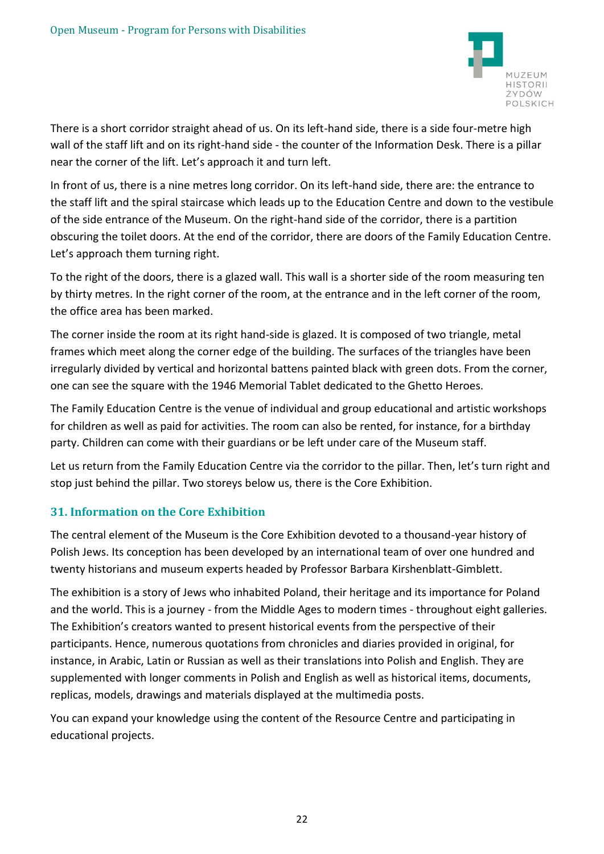

There is a short corridor straight ahead of us. On its left-hand side, there is a side four-metre high wall of the staff lift and on its right-hand side - the counter of the Information Desk. There is a pillar near the corner of the lift. Let's approach it and turn left.

In front of us, there is a nine metres long corridor. On its left-hand side, there are: the entrance to the staff lift and the spiral staircase which leads up to the Education Centre and down to the vestibule of the side entrance of the Museum. On the right-hand side of the corridor, there is a partition obscuring the toilet doors. At the end of the corridor, there are doors of the Family Education Centre. Let's approach them turning right.

To the right of the doors, there is a glazed wall. This wall is a shorter side of the room measuring ten by thirty metres. In the right corner of the room, at the entrance and in the left corner of the room, the office area has been marked.

The corner inside the room at its right hand-side is glazed. It is composed of two triangle, metal frames which meet along the corner edge of the building. The surfaces of the triangles have been irregularly divided by vertical and horizontal battens painted black with green dots. From the corner, one can see the square with the 1946 Memorial Tablet dedicated to the Ghetto Heroes.

The Family Education Centre is the venue of individual and group educational and artistic workshops for children as well as paid for activities. The room can also be rented, for instance, for a birthday party. Children can come with their guardians or be left under care of the Museum staff.

Let us return from the Family Education Centre via the corridor to the pillar. Then, let's turn right and stop just behind the pillar. Two storeys below us, there is the Core Exhibition.

## **31. Information on the Core Exhibition**

The central element of the Museum is the Core Exhibition devoted to a thousand-year history of Polish Jews. Its conception has been developed by an international team of over one hundred and twenty historians and museum experts headed by Professor Barbara Kirshenblatt-Gimblett.

The exhibition is a story of Jews who inhabited Poland, their heritage and its importance for Poland and the world. This is a journey - from the Middle Ages to modern times - throughout eight galleries. The Exhibition's creators wanted to present historical events from the perspective of their participants. Hence, numerous quotations from chronicles and diaries provided in original, for instance, in Arabic, Latin or Russian as well as their translations into Polish and English. They are supplemented with longer comments in Polish and English as well as historical items, documents, replicas, models, drawings and materials displayed at the multimedia posts.

You can expand your knowledge using the content of the Resource Centre and participating in educational projects.